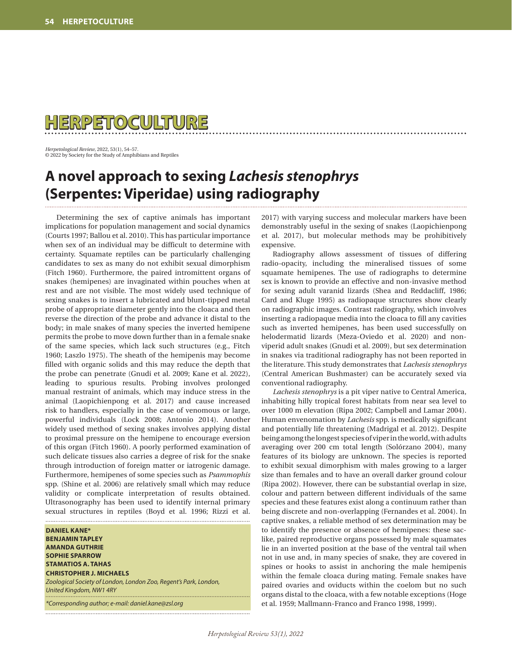

*Herpetological Review*, 2022, 53(1), 54–57. © 2022 by Society for the Study of Amphibians and Reptiles

# **A novel approach to sexing** *Lachesis stenophrys* **(Serpentes: Viperidae) using radiography**

Determining the sex of captive animals has important implications for population management and social dynamics (Courts 1997; Ballou et al. 2010). This has particular importance when sex of an individual may be difficult to determine with certainty. Squamate reptiles can be particularly challenging candidates to sex as many do not exhibit sexual dimorphism (Fitch 1960). Furthermore, the paired intromittent organs of snakes (hemipenes) are invaginated within pouches when at rest and are not visible. The most widely used technique of sexing snakes is to insert a lubricated and blunt-tipped metal probe of appropriate diameter gently into the cloaca and then reverse the direction of the probe and advance it distal to the body; in male snakes of many species the inverted hemipene permits the probe to move down further than in a female snake of the same species, which lack such structures (e.g., Fitch 1960; Laszlo 1975). The sheath of the hemipenis may become filled with organic solids and this may reduce the depth that the probe can penetrate (Gnudi et al. 2009; Kane et al. 2022), leading to spurious results. Probing involves prolonged manual restraint of animals, which may induce stress in the animal (Laopichienpong et al. 2017) and cause increased risk to handlers, especially in the case of venomous or large, powerful individuals (Lock 2008; Antonio 2014). Another widely used method of sexing snakes involves applying distal to proximal pressure on the hemipene to encourage eversion of this organ (Fitch 1960). A poorly performed examination of such delicate tissues also carries a degree of risk for the snake through introduction of foreign matter or iatrogenic damage. Furthermore, hemipenes of some species such as *Psammophis*  spp. (Shine et al. 2006) are relatively small which may reduce validity or complicate interpretation of results obtained. Ultrasonography has been used to identify internal primary sexual structures in reptiles (Boyd et al. 1996; Rizzi et al.

**DANIEL KANE\* BENJAMIN TAPLEY AMANDA GUTHRIE SOPHIE SPARROW STAMATIOS A. TAHAS CHRISTOPHER J. MICHAELS** *Zoological Society of London, London Zoo, Regent's Park, London, United Kingdom, NW1 4RY*

*\*Corresponding author; e-mail: daniel.kane@zsl.org*

2017) with varying success and molecular markers have been demonstrably useful in the sexing of snakes (Laopichienpong et al. 2017), but molecular methods may be prohibitively expensive.

Radiography allows assessment of tissues of differing radio-opacity, including the mineralised tissues of some squamate hemipenes. The use of radiographs to determine sex is known to provide an effective and non-invasive method for sexing adult varanid lizards (Shea and Reddacliff, 1986; Card and Kluge 1995) as radiopaque structures show clearly on radiographic images. Contrast radiography, which involves inserting a radiopaque media into the cloaca to fill any cavities such as inverted hemipenes, has been used successfully on helodermatid lizards (Meza-Oviedo et al. 2020) and nonviperid adult snakes (Gnudi et al. 2009), but sex determination in snakes via traditional radiography has not been reported in the literature. This study demonstrates that *Lachesis stenophrys* (Central American Bushmaster) can be accurately sexed via conventional radiography.

*Lachesis stenophrys* is a pit viper native to Central America, inhabiting hilly tropical forest habitats from near sea level to over 1000 m elevation (Ripa 2002; Campbell and Lamar 2004). Human envenomation by *Lachesis* spp. is medically significant and potentially life threatening (Madrigal et al. 2012). Despite being among the longest species of viper in the world, with adults averaging over 200 cm total length (Solórzano 2004), many features of its biology are unknown. The species is reported to exhibit sexual dimorphism with males growing to a larger size than females and to have an overall darker ground colour (Ripa 2002). However, there can be substantial overlap in size, colour and pattern between different individuals of the same species and these features exist along a continuum rather than being discrete and non-overlapping (Fernandes et al. 2004). In captive snakes, a reliable method of sex determination may be to identify the presence or absence of hemipenes: these saclike, paired reproductive organs possessed by male squamates lie in an inverted position at the base of the ventral tail when not in use and, in many species of snake, they are covered in spines or hooks to assist in anchoring the male hemipenis within the female cloaca during mating. Female snakes have paired ovaries and oviducts within the coelom but no such organs distal to the cloaca, with a few notable exceptions (Hoge et al. 1959; Mallmann-Franco and Franco 1998, 1999).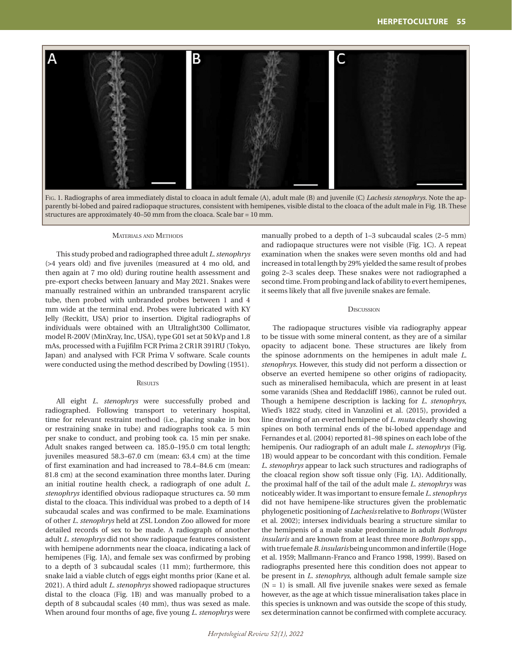

Fig. 1. Radiographs of area immediately distal to cloaca in adult female (A), adult male (B) and juvenile (C) *Lachesis stenophrys*. Note the apparently bi-lobed and paired radiopaque structures, consistent with hemipenes, visible distal to the cloaca of the adult male in Fig. 1B. These structures are approximately 40–50 mm from the cloaca. Scale bar = 10 mm.

#### Materials and Methods

This study probed and radiographed three adult *L. stenophrys* (>4 years old) and five juveniles (measured at 4 mo old, and then again at 7 mo old) during routine health assessment and pre-export checks between January and May 2021. Snakes were manually restrained within an unbranded transparent acrylic tube, then probed with unbranded probes between 1 and 4 mm wide at the terminal end. Probes were lubricated with KY Jelly (Reckitt, USA) prior to insertion. Digital radiographs of individuals were obtained with an Ultralight300 Collimator, model R-200V (MinXray, Inc, USA), type G01 set at 50 kVp and 1.8 mAs, processed with a Fujifilm FCR Prima 2 CR1R 391RU (Tokyo, Japan) and analysed with FCR Prima V software. Scale counts were conducted using the method described by Dowling (1951).

#### **RESULTS**

All eight *L. stenophrys* were successfully probed and radiographed. Following transport to veterinary hospital, time for relevant restraint method (i.e., placing snake in box or restraining snake in tube) and radiographs took ca. 5 min per snake to conduct, and probing took ca. 15 min per snake. Adult snakes ranged between ca. 185.0–195.0 cm total length; juveniles measured 58.3–67.0 cm (mean: 63.4 cm) at the time of first examination and had increased to 78.4–84.6 cm (mean: 81.8 cm) at the second examination three months later. During an initial routine health check, a radiograph of one adult *L. stenophrys* identified obvious radiopaque structures ca. 50 mm distal to the cloaca. This individual was probed to a depth of 14 subcaudal scales and was confirmed to be male. Examinations of other *L. stenophrys* held at ZSL London Zoo allowed for more detailed records of sex to be made. A radiograph of another adult *L. stenophrys* did not show radiopaque features consistent with hemipene adornments near the cloaca, indicating a lack of hemipenes (Fig. 1A), and female sex was confirmed by probing to a depth of 3 subcaudal scales (11 mm); furthermore, this snake laid a viable clutch of eggs eight months prior (Kane et al. 2021). A third adult *L. stenophrys* showed radiopaque structures distal to the cloaca (Fig. 1B) and was manually probed to a depth of 8 subcaudal scales (40 mm), thus was sexed as male. When around four months of age, five young *L. stenophrys* were

manually probed to a depth of 1–3 subcaudal scales (2–5 mm) and radiopaque structures were not visible (Fig. 1C). A repeat examination when the snakes were seven months old and had increased in total length by 29% yielded the same result of probes going 2–3 scales deep. These snakes were not radiographed a second time. From probing and lack of ability to evert hemipenes, it seems likely that all five juvenile snakes are female.

### **DISCUSSION**

The radiopaque structures visible via radiography appear to be tissue with some mineral content, as they are of a similar opacity to adjacent bone. These structures are likely from the spinose adornments on the hemipenes in adult male *L. stenophrys.* However, this study did not perform a dissection or observe an everted hemipene so other origins of radiopacity, such as mineralised hemibacula, which are present in at least some varanids (Shea and Reddacliff 1986), cannot be ruled out. Though a hemipene description is lacking for *L. stenophrys*, Wied's 1822 study, cited in Vanzolini et al. (2015), provided a line drawing of an everted hemipene of *L. muta* clearly showing spines on both terminal ends of the bi-lobed appendage and Fernandes et al. (2004) reported 81–98 spines on each lobe of the hemipenis. Our radiograph of an adult male *L. stenophrys* (Fig. 1B) would appear to be concordant with this condition. Female *L. stenophrys* appear to lack such structures and radiographs of the cloacal region show soft tissue only (Fig. 1A). Additionally, the proximal half of the tail of the adult male *L. stenophrys* was noticeably wider. It was important to ensure female *L. stenophrys* did not have hemipene-like structures given the problematic phylogenetic positioning of *Lachesis* relative to *Bothrops* (Wüster et al. 2002); intersex individuals bearing a structure similar to the hemipenis of a male snake predominate in adult *Bothrops insularis* and are known from at least three more *Bothrops* spp., with true female *B. insularis* being uncommon and infertile (Hoge et al. 1959; Mallmann-Franco and Franco 1998, 1999). Based on radiographs presented here this condition does not appear to be present in *L. stenophrys*, although adult female sample size  $(N = 1)$  is small. All five juvenile snakes were sexed as female however, as the age at which tissue mineralisation takes place in this species is unknown and was outside the scope of this study, sex determination cannot be confirmed with complete accuracy.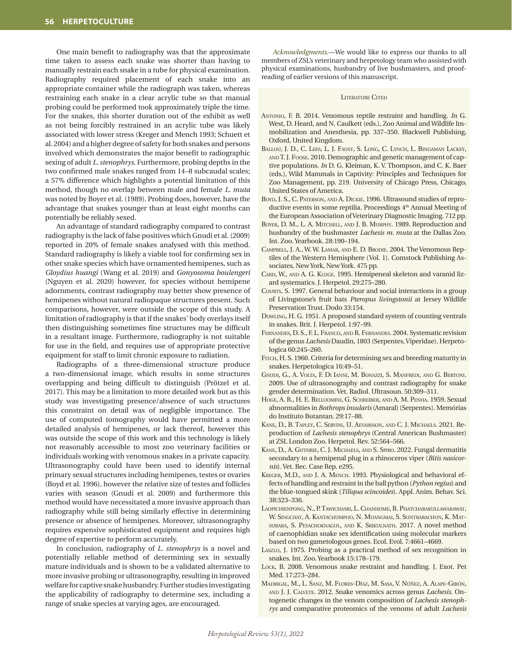One main benefit to radiography was that the approximate time taken to assess each snake was shorter than having to manually restrain each snake in a tube for physical examination. Radiography required placement of each snake into an appropriate container while the radiograph was taken, whereas restraining each snake in a clear acrylic tube so that manual probing could be performed took approximately triple the time. For the snakes, this shorter duration out of the exhibit as well as not being forcibly restrained in an acrylic tube was likely associated with lower stress (Kreger and Mench 1993; Schuett et al. 2004) and a higher degree of safety for both snakes and persons involved which demonstrates the major benefit to radiographic sexing of adult *L. stenophrys*. Furthermore, probing depths in the two confirmed male snakes ranged from 14–8 subcaudal scales; a 57% difference which highlights a potential limitation of this method, though no overlap between male and female *L. muta* was noted by Boyer et al. (1989). Probing does, however, have the advantage that snakes younger than at least eight months can potentially be reliably sexed.

An advantage of standard radiography compared to contrast radiography is the lack of false positives which Gnudi et al. (2009) reported in 20% of female snakes analysed with this method. Standard radiography is likely a viable tool for confirming sex in other snake species which have ornamented hemipenes, such as *Gloydius huangi* (Wang et al. 2019) and *Gonyosoma boulengeri* (Nguyen et al. 2020) however, for species without hemipene adornments, contrast radiography may better show presence of hemipenes without natural radiopaque structures present. Such comparisons, however, were outside the scope of this study. A limitation of radiography is that if the snakes' body overlays itself then distinguishing sometimes fine structures may be difficult in a resultant image. Furthermore, radiography is not suitable for use in the field, and requires use of appropriate protective equipment for staff to limit chronic exposure to radiation.

Radiographs of a three-dimensional structure produce a two-dimensional image, which results in some structures overlapping and being difficult to distinguish (Prötzel et al. 2017). This may be a limitation to more detailed work but as this study was investigating presence/absence of such structures this constraint on detail was of negligible importance. The use of computed tomography would have permitted a more detailed analysis of hemipenes, or lack thereof, however this was outside the scope of this work and this technology is likely not reasonably accessible to most zoo veterinary facilities or individuals working with venomous snakes in a private capacity. Ultrasonography could have been used to identify internal primary sexual structures including hemipenes, testes or ovaries (Boyd et al. 1996), however the relative size of testes and follicles varies with season (Gnudi et al. 2009) and furthermore this method would have necessitated a more invasive approach than radiography while still being similarly effective in determining presence or absence of hemipenes. Moreover, ultrasonography requires expensive sophisticated equipment and requires high degree of expertise to perform accurately.

In conclusion, radiography of *L. stenophrys* is a novel and potentially reliable method of determining sex in sexually mature individuals and is shown to be a validated alternative to more invasive probing or ultrasonography, resulting in improved welfare for captive snake husbandry. Further studies investigating the applicability of radiography to determine sex, including a range of snake species at varying ages, are encouraged.

*Acknowledgments.*—We would like to express our thanks to all members of ZSL's veterinary and herpetology team who assisted with physical examinations, husbandry of live bushmasters, and proofreading of earlier versions of this manuscript.

## LITERATURE CITED

- Antonio, F. B. 2014. Venomous reptile restraint and handling. *In* G. West, D. Heard, and N. Caulkett (eds.), Zoo Animal and Wildlife Immobilization and Anesthesia, pp. 337–350. Blackwell Publishing, Oxford, United Kingdom.
- BALLOU, J. D., C. LEES, L. J. FAUST, S. LONG, C. LYNCH, L. BINGAMAN LACKEY, and T. J. Foose. 2010. Demographic and genetic management of captive populations. *In* D. G. Kleiman, K. V. Thompson, and C. K. Baer (eds.), Wild Mammals in Captivity: Principles and Techniques for Zoo Management, pp. 219. University of Chicago Press, Chicago, United States of America.
- Boyd, J. S., C. Paterson, and A. Dickie. 1996. Ultrasound studies of reproductive events in some reptilia. Proceedings 4<sup>th</sup> Annual Meeting of the European Association of Veterinary Diagnostic Imaging. 712 pp.
- Boyer, D. M., L. A. Mitchell, and J. B. Murphy. 1989. Reproduction and husbandry of the bushmaster *Lachesis m. muta* at the Dallas Zoo. Int. Zoo. Yearbook. 28:190–194.
- Campbell, J. A., W. W. Lamar, and E. D. Brodie. 2004. The Venomous Reptiles of the Western Hemisphere (Vol. 1). Comstock Publishing Associates, New York, New York. 475 pp.
- CARD, W., AND A. G. KLUGE. 1995. Hemipeneal skeleton and varanid lizard systematics. J. Herpetol. 29:275–280.
- Courts, S. 1997. General behaviour and social interactions in a group of Livingstone's fruit bats *Pteropus livingstonii* at Jersey Wildlife Preservation Trust. Dodo 33:154.
- Dowling, H. G. 1951. A proposed standard system of counting ventrals in snakes. Brit. J. Herpetol. 1:97–99.
- Fernandes, D. S., F. L. Franco, and R. Fernandes. 2004. Systematic revision of the genus *Lachesis* Daudin, 1803 (Serpentes, Viperidae). Herpetologica 60:245–260.
- Fitch, H. S. 1960. Criteria for determining sex and breeding maturity in snakes. Herpetologica 16:49–51.
- Gnudi, G., A. Volta, F. Di Ianni, M. Bonazzi, S. Manfredi, and G. Bertoni. 2009. Use of ultrasonography and contrast radiography for snake gender determination. Vet. Radiol. Ultrasoun. 50:309–311.
- Hoge, A. R., H. E. Belluomini, G. Schreiber, and A. M. Penha. 1959. Sexual abnormalities in *Bothrops insularis* (Amaral) (Serpentes). Memórias do Instituto Butantan. 29:17–88.
- Kane, D., B. Tapley, C. Servini, U. Aevarsson, and C. J. Michaels. 2021. Reproduction of *Lachesis stenophrys* (Central American Bushmaster) at ZSL London Zoo. Herpetol. Rev. 52:564–566.
- Kane, D., A. Guthrie, C. J. Michaels, and S. Spiro. 2022. Fungal dermatitis secondary to a hemipenal plug in a rhinoceros viper (*Bitis nasicornis*). Vet. Rec. Case Rep. e295.
- KREGER, M.D., AND J. A. MENCH. 1993. Physiological and behavioral effects of handling and restraint in the ball python (*Python regius*) and the blue-tongued skink (*Tiliqua scincoides*). Appl. Anim. Behav. Sci. 38:323–336.
- Laopichienpong, N., P. Tawichasri, L. Chanhome, R. Phatcharakullawarawat, W. Singchat, A. Kantachumpoo, N. Muangmai, S. Suntrarachun, K. Matsubara, S. Peyachoknagul, and K. Srikulnath. 2017. A novel method of caenophidian snake sex identification using molecular markers based on two gametologous genes. Ecol. Evol. 7:4661–4669.
- Laszlo, J. 1975. Probing as a practical method of sex recognition in snakes. Int. Zoo. Yearbook 15:178–179.
- Lock, B. 2008. Venomous snake restraint and handling. J. Exot. Pet Med. 17:273–284.
- Madrigal, M., L. Sanz, M. Flores-Díaz, M. Sasa, V. Núñez, A. Alape-Girón, and J. J. Calvete. 2012. Snake venomics across genus *Lachesis*. Ontogenetic changes in the venom composition of *Lachesis stenophrys* and comparative proteomics of the venoms of adult *Lachesis*